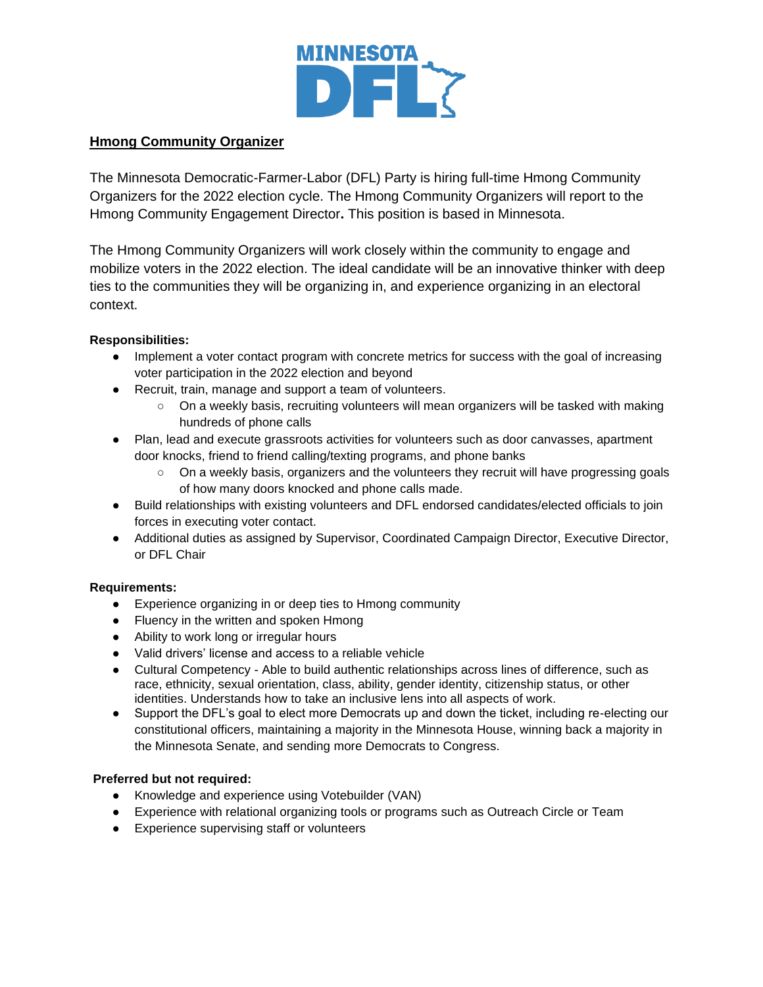

## **Hmong Community Organizer**

The Minnesota Democratic-Farmer-Labor (DFL) Party is hiring full-time Hmong Community Organizers for the 2022 election cycle. The Hmong Community Organizers will report to the Hmong Community Engagement Director**.** This position is based in Minnesota.

The Hmong Community Organizers will work closely within the community to engage and mobilize voters in the 2022 election. The ideal candidate will be an innovative thinker with deep ties to the communities they will be organizing in, and experience organizing in an electoral context.

### **Responsibilities:**

- Implement a voter contact program with concrete metrics for success with the goal of increasing voter participation in the 2022 election and beyond
- Recruit, train, manage and support a team of volunteers.
	- On a weekly basis, recruiting volunteers will mean organizers will be tasked with making hundreds of phone calls
- Plan, lead and execute grassroots activities for volunteers such as door canvasses, apartment door knocks, friend to friend calling/texting programs, and phone banks
	- On a weekly basis, organizers and the volunteers they recruit will have progressing goals of how many doors knocked and phone calls made.
- Build relationships with existing volunteers and DFL endorsed candidates/elected officials to join forces in executing voter contact.
- Additional duties as assigned by Supervisor, Coordinated Campaign Director, Executive Director, or DFL Chair

#### **Requirements:**

- Experience organizing in or deep ties to Hmong community
- Fluency in the written and spoken Hmong
- Ability to work long or irregular hours
- Valid drivers' license and access to a reliable vehicle
- Cultural Competency Able to build authentic relationships across lines of difference, such as race, ethnicity, sexual orientation, class, ability, gender identity, citizenship status, or other identities. Understands how to take an inclusive lens into all aspects of work.
- Support the DFL's goal to elect more Democrats up and down the ticket, including re-electing our constitutional officers, maintaining a majority in the Minnesota House, winning back a majority in the Minnesota Senate, and sending more Democrats to Congress.

#### **Preferred but not required:**

- Knowledge and experience using Votebuilder (VAN)
- Experience with relational organizing tools or programs such as Outreach Circle or Team
- Experience supervising staff or volunteers